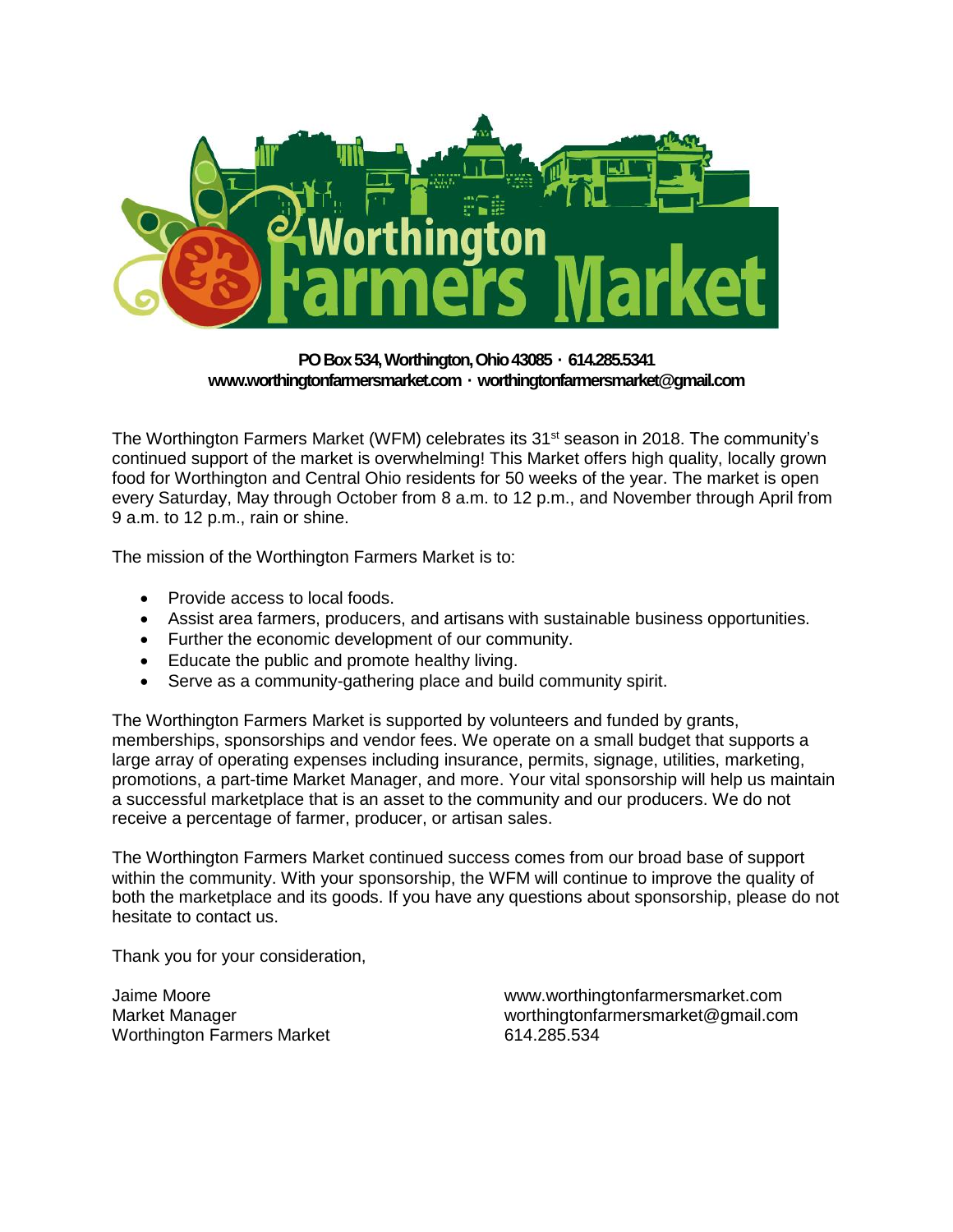

### **PO Box 534, Worthington, Ohio 43085 · 614.285.5341 www.worthingtonfarmersmarket.com · worthingtonfarmersmarket@gmail.com**

The Worthington Farmers Market (WFM) celebrates its 31<sup>st</sup> season in 2018. The community's continued support of the market is overwhelming! This Market offers high quality, locally grown food for Worthington and Central Ohio residents for 50 weeks of the year. The market is open every Saturday, May through October from 8 a.m. to 12 p.m., and November through April from 9 a.m. to 12 p.m., rain or shine.

The mission of the Worthington Farmers Market is to:

- Provide access to local foods.
- Assist area farmers, producers, and artisans with sustainable business opportunities.
- Further the economic development of our community.
- Educate the public and promote healthy living.
- Serve as a community-gathering place and build community spirit.

The Worthington Farmers Market is supported by volunteers and funded by grants, memberships, sponsorships and vendor fees. We operate on a small budget that supports a large array of operating expenses including insurance, permits, signage, utilities, marketing, promotions, a part-time Market Manager, and more. Your vital sponsorship will help us maintain a successful marketplace that is an asset to the community and our producers. We do not receive a percentage of farmer, producer, or artisan sales.

The Worthington Farmers Market continued success comes from our broad base of support within the community. With your sponsorship, the WFM will continue to improve the quality of both the marketplace and its goods. If you have any questions about sponsorship, please do not hesitate to contact us.

Thank you for your consideration,

Jaime Moore Market Manager Worthington Farmers Market

www.worthingtonfarmersmarket.com worthingtonfarmersmarket@gmail.com 614.285.534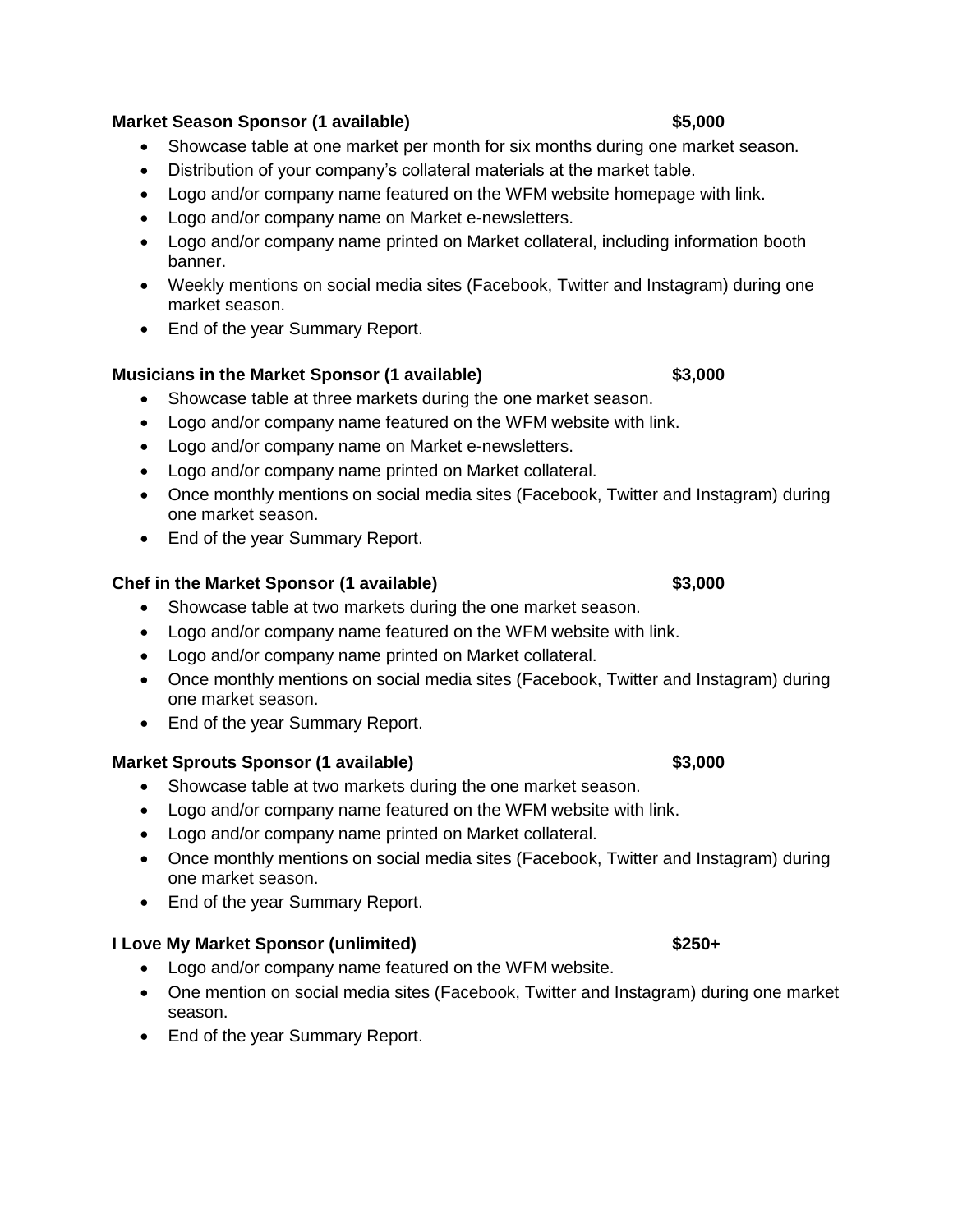### **Market Season Sponsor (1 available) \$5,000**

- Showcase table at one market per month for six months during one market season.
- Distribution of your company's collateral materials at the market table.
- Logo and/or company name featured on the WFM website homepage with link.
- Logo and/or company name on Market e-newsletters.
- Logo and/or company name printed on Market collateral, including information booth banner.
- Weekly mentions on social media sites (Facebook, Twitter and Instagram) during one market season.
- End of the year Summary Report.

### **Musicians in the Market Sponsor (1 available) \$3,000**

- Showcase table at three markets during the one market season.
- Logo and/or company name featured on the WFM website with link.
- Logo and/or company name on Market e-newsletters.
- Logo and/or company name printed on Market collateral.
- Once monthly mentions on social media sites (Facebook, Twitter and Instagram) during one market season.
- End of the year Summary Report.

## **Chef in the Market Sponsor (1 available) \$3,000**

- Showcase table at two markets during the one market season.
- Logo and/or company name featured on the WFM website with link.
- Logo and/or company name printed on Market collateral.
- Once monthly mentions on social media sites (Facebook, Twitter and Instagram) during one market season.
- End of the year Summary Report.

# **Market Sprouts Sponsor (1 available) \$3,000**

- Showcase table at two markets during the one market season.
- Logo and/or company name featured on the WFM website with link.
- Logo and/or company name printed on Market collateral.
- Once monthly mentions on social media sites (Facebook, Twitter and Instagram) during one market season.
- End of the year Summary Report.

# **I Love My Market Sponsor (unlimited) \$250+**

- Logo and/or company name featured on the WFM website.
- One mention on social media sites (Facebook, Twitter and Instagram) during one market season.
- End of the year Summary Report.